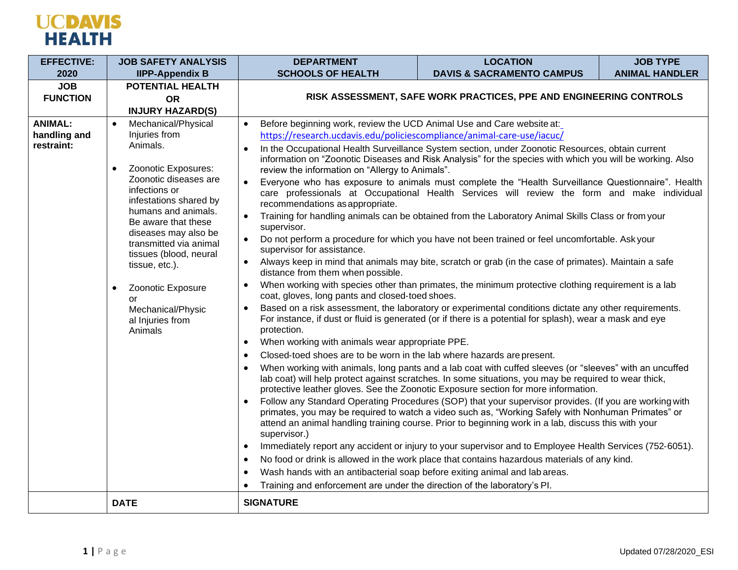

| <b>EFFECTIVE:</b> | <b>JOB SAFETY ANALYSIS</b>                                                                                                                                                                                   | <b>DEPARTMENT</b>                                                                                                                                                                                                                                 | <b>LOCATION</b>                                                                                     | <b>JOB TYPE</b>       |  |  |
|-------------------|--------------------------------------------------------------------------------------------------------------------------------------------------------------------------------------------------------------|---------------------------------------------------------------------------------------------------------------------------------------------------------------------------------------------------------------------------------------------------|-----------------------------------------------------------------------------------------------------|-----------------------|--|--|
| 2020              | <b>IIPP-Appendix B</b>                                                                                                                                                                                       | <b>SCHOOLS OF HEALTH</b>                                                                                                                                                                                                                          | <b>DAVIS &amp; SACRAMENTO CAMPUS</b>                                                                | <b>ANIMAL HANDLER</b> |  |  |
| <b>JOB</b>        | POTENTIAL HEALTH                                                                                                                                                                                             |                                                                                                                                                                                                                                                   |                                                                                                     |                       |  |  |
| <b>FUNCTION</b>   | <b>OR</b>                                                                                                                                                                                                    | RISK ASSESSMENT, SAFE WORK PRACTICES, PPE AND ENGINEERING CONTROLS                                                                                                                                                                                |                                                                                                     |                       |  |  |
|                   | <b>INJURY HAZARD(S)</b>                                                                                                                                                                                      |                                                                                                                                                                                                                                                   |                                                                                                     |                       |  |  |
| <b>ANIMAL:</b>    | Mechanical/Physical                                                                                                                                                                                          | Before beginning work, review the UCD Animal Use and Care website at:                                                                                                                                                                             |                                                                                                     |                       |  |  |
| handling and      | Injuries from                                                                                                                                                                                                | https://research.ucdavis.edu/policiescompliance/animal-care-use/iacuc/                                                                                                                                                                            |                                                                                                     |                       |  |  |
| restraint:        | Animals.                                                                                                                                                                                                     |                                                                                                                                                                                                                                                   | In the Occupational Health Surveillance System section, under Zoonotic Resources, obtain current    |                       |  |  |
|                   | Zoonotic Exposures:<br>$\bullet$                                                                                                                                                                             | information on "Zoonotic Diseases and Risk Analysis" for the species with which you will be working. Also                                                                                                                                         |                                                                                                     |                       |  |  |
|                   | Zoonotic diseases are<br>infections or<br>infestations shared by<br>humans and animals.<br>Be aware that these<br>diseases may also be<br>transmitted via animal<br>tissues (blood, neural<br>tissue, etc.). | review the information on "Allergy to Animals".<br>$\bullet$                                                                                                                                                                                      |                                                                                                     |                       |  |  |
|                   |                                                                                                                                                                                                              | Everyone who has exposure to animals must complete the "Health Surveillance Questionnaire". Health<br>care professionals at Occupational Health Services will review the form and make individual                                                 |                                                                                                     |                       |  |  |
|                   |                                                                                                                                                                                                              | recommendations as appropriate.                                                                                                                                                                                                                   |                                                                                                     |                       |  |  |
|                   |                                                                                                                                                                                                              | Training for handling animals can be obtained from the Laboratory Animal Skills Class or from your                                                                                                                                                |                                                                                                     |                       |  |  |
|                   |                                                                                                                                                                                                              | supervisor.                                                                                                                                                                                                                                       |                                                                                                     |                       |  |  |
|                   |                                                                                                                                                                                                              | Do not perform a procedure for which you have not been trained or feel uncomfortable. Askyour                                                                                                                                                     |                                                                                                     |                       |  |  |
|                   |                                                                                                                                                                                                              | supervisor for assistance.                                                                                                                                                                                                                        |                                                                                                     |                       |  |  |
|                   |                                                                                                                                                                                                              | Always keep in mind that animals may bite, scratch or grab (in the case of primates). Maintain a safe<br>distance from them when possible.<br>When working with species other than primates, the minimum protective clothing requirement is a lab |                                                                                                     |                       |  |  |
|                   |                                                                                                                                                                                                              |                                                                                                                                                                                                                                                   |                                                                                                     |                       |  |  |
|                   | Zoonotic Exposure<br>$\bullet$<br>or<br>Mechanical/Physic                                                                                                                                                    | coat, gloves, long pants and closed-toed shoes.                                                                                                                                                                                                   |                                                                                                     |                       |  |  |
|                   |                                                                                                                                                                                                              | Based on a risk assessment, the laboratory or experimental conditions dictate any other requirements.                                                                                                                                             |                                                                                                     |                       |  |  |
|                   | al Injuries from                                                                                                                                                                                             | For instance, if dust or fluid is generated (or if there is a potential for splash), wear a mask and eve                                                                                                                                          |                                                                                                     |                       |  |  |
|                   | Animals                                                                                                                                                                                                      | protection.                                                                                                                                                                                                                                       |                                                                                                     |                       |  |  |
|                   |                                                                                                                                                                                                              | When working with animals wear appropriate PPE.                                                                                                                                                                                                   |                                                                                                     |                       |  |  |
|                   |                                                                                                                                                                                                              | Closed-toed shoes are to be worn in the lab where hazards are present.                                                                                                                                                                            |                                                                                                     |                       |  |  |
|                   | When working with animals, long pants and a lab coat with cuffed sleeves (or "sleeves" with an uncuffed                                                                                                      |                                                                                                                                                                                                                                                   |                                                                                                     |                       |  |  |
|                   |                                                                                                                                                                                                              | lab coat) will help protect against scratches. In some situations, you may be required to wear thick,<br>protective leather gloves. See the Zoonotic Exposure section for more information.                                                       |                                                                                                     |                       |  |  |
|                   |                                                                                                                                                                                                              | Follow any Standard Operating Procedures (SOP) that your supervisor provides. (If you are working with<br>$\bullet$                                                                                                                               |                                                                                                     |                       |  |  |
|                   |                                                                                                                                                                                                              | primates, you may be required to watch a video such as, "Working Safely with Nonhuman Primates" or                                                                                                                                                |                                                                                                     |                       |  |  |
|                   |                                                                                                                                                                                                              |                                                                                                                                                                                                                                                   | attend an animal handling training course. Prior to beginning work in a lab, discuss this with your |                       |  |  |
|                   |                                                                                                                                                                                                              | supervisor.)                                                                                                                                                                                                                                      |                                                                                                     |                       |  |  |
|                   |                                                                                                                                                                                                              | Immediately report any accident or injury to your supervisor and to Employee Health Services (752-6051).                                                                                                                                          |                                                                                                     |                       |  |  |
|                   |                                                                                                                                                                                                              | No food or drink is allowed in the work place that contains hazardous materials of any kind.                                                                                                                                                      |                                                                                                     |                       |  |  |
|                   |                                                                                                                                                                                                              | Wash hands with an antibacterial soap before exiting animal and lab areas.                                                                                                                                                                        |                                                                                                     |                       |  |  |
|                   |                                                                                                                                                                                                              | Training and enforcement are under the direction of the laboratory's PI.                                                                                                                                                                          |                                                                                                     |                       |  |  |
|                   | <b>DATE</b>                                                                                                                                                                                                  | <b>SIGNATURE</b>                                                                                                                                                                                                                                  |                                                                                                     |                       |  |  |